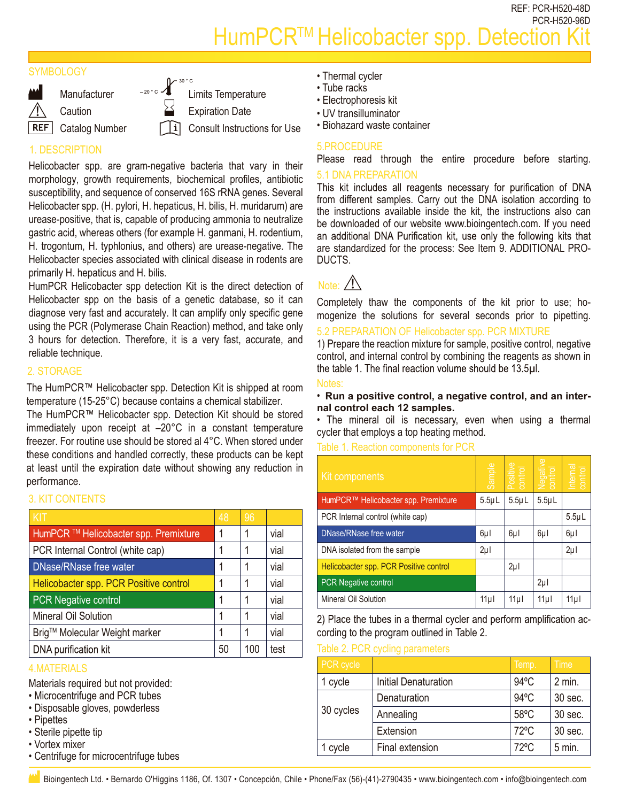REF: PCR-H520-48D PCR-H520-96D HumPCR<sup>™</sup> Helicobacter spp. Detection

#### **SYMBOLOGY**



**Caution REF** Catalog Number

 $\sim$   $\int^{\frac{30}{50}}$  Limits Temperature

Expiration Date

Consult Instructions for Use

# 1. DESCRIPTION

Helicobacter spp. are gram-negative bacteria that vary in their morphology, growth requirements, biochemical profiles, antibiotic susceptibility, and sequence of conserved 16S rRNA genes. Several Helicobacter spp. (H. pylori, H. hepaticus, H. bilis, H. muridarum) are urease-positive, that is, capable of producing ammonia to neutralize gastric acid, whereas others (for example H. ganmani, H. rodentium, H. trogontum, H. typhlonius, and others) are urease-negative. The Helicobacter species associated with clinical disease in rodents are primarily H. hepaticus and H. bilis.

HumPCR Helicobacter spp detection Kit is the direct detection of Helicobacter spp on the basis of a genetic database, so it can diagnose very fast and accurately. It can amplify only specific gene using the PCR (Polymerase Chain Reaction) method, and take only 3 hours for detection. Therefore, it is a very fast, accurate, and reliable technique.

### 2. STORAGE

The HumPCR™ Helicobacter spp. Detection Kit is shipped at room temperature (15-25°C) because contains a chemical stabilizer.

The HumPCR™ Helicobacter spp. Detection Kit should be stored immediately upon receipt at –20°C in a constant temperature freezer. For routine use should be stored al 4°C. When stored under these conditions and handled correctly, these products can be kept at least until the expiration date without showing any reduction in performance.

#### 3. KIT CONTENTS

| KIT                                    | 48 | 96  |      |
|----------------------------------------|----|-----|------|
| HumPCR ™ Helicobacter spp. Premixture  | 1  |     | vial |
| PCR Internal Control (white cap)       | 1  |     | vial |
| DNase/RNase free water                 | 1  |     | vial |
| Helicobacter spp. PCR Positive control | 1  |     | vial |
| <b>PCR Negative control</b>            | 1  |     | vial |
| Mineral Oil Solution                   | 1  |     | vial |
| Brig™ Molecular Weight marker          | 1  |     | vial |
| DNA purification kit                   | 50 | 100 | test |

#### 4.MATERIALS

Materials required but not provided:

- Microcentrifuge and PCR tubes
- Disposable gloves, powderless
- Pipettes
- Sterile pipette tip
- Vortex mixer
- Centrifuge for microcentrifuge tubes
- Thermal cycler
- Tube racks
- Electrophoresis kit
- UV transilluminator
- Biohazard waste container

#### 5.PROCEDURE

Please read through the entire procedure before starting.

#### 5.1 DNA PREPARATION

This kit includes all reagents necessary for purification of DNA from different samples. Carry out the DNA isolation according to the instructions available inside the kit, the instructions also can be downloaded of our website www.bioingentech.com. If you need an additional DNA Purification kit, use only the following kits that are standardized for the process: See Item 9. ADDITIONAL PRO-DUCTS.

# Note:  $\bigwedge$

Completely thaw the components of the kit prior to use; homogenize the solutions for several seconds prior to pipetting.

## 5.2 PREPARATION OF Helicobacter spp. PCR MIXTURE

1) Prepare the reaction mixture for sample, positive control, negative control, and internal control by combining the reagents as shown in the table 1. The final reaction volume should be 13.5µl.

#### Notes:

#### • **Run a positive control, a negative control, and an internal control each 12 samples.**

• The mineral oil is necessary, even when using a thermal cycler that employs a top heating method.

#### Table 1. Reaction components for PCR

| G conditions and nanufact correctly, these products can be kept.<br>ast until the expiration date without showing any reduction in<br>ormance.         |    |         | Kit components              |                                                                      | Sample                                           | Positive<br>control | control<br>.<br>Э | Internal<br>control |             |
|--------------------------------------------------------------------------------------------------------------------------------------------------------|----|---------|-----------------------------|----------------------------------------------------------------------|--------------------------------------------------|---------------------|-------------------|---------------------|-------------|
| <b>IT CONTENTS</b>                                                                                                                                     |    |         |                             |                                                                      | HumPCR <sup>™</sup> Helicobacter spp. Premixture | $5.5 \mu L$         | $5.5 \mu L$       | $5.5 \mu L$         |             |
|                                                                                                                                                        | 48 | 96      |                             |                                                                      | PCR Internal control (white cap)                 |                     |                   |                     | $5.5 \mu L$ |
| mPCR ™ Helicobacter spp. Premixture                                                                                                                    | 1  |         | vial                        | DNase/RNase free water                                               |                                                  | $6\mu$              | 6µl               | $6\mu$              | 6µl         |
| R Internal Control (white cap)                                                                                                                         | 1  |         | vial                        | DNA isolated from the sample                                         |                                                  | $2\mu$              |                   |                     | $2\mu$      |
| lase/RNase free water                                                                                                                                  | 1  |         | vial                        | Helicobacter spp. PCR Positive control                               |                                                  |                     | $2\mu$            |                     |             |
| licobacter spp. PCR Positive control                                                                                                                   | 1  |         | vial                        | PCR Negative control                                                 |                                                  |                     |                   | $2\mu$              |             |
| <b>R</b> Negative control                                                                                                                              | 1  |         | vial                        | Mineral Oil Solution                                                 |                                                  | 11 <sub>µ</sub>     | 11µ               | 11 <sub>µ</sub>     | 11µ         |
| neral Oil Solution                                                                                                                                     |    |         | vial                        | 2) Place the tubes in a thermal cycler and perform amplification ac- |                                                  |                     |                   |                     |             |
| g™ Molecular Weight marker                                                                                                                             | 1  |         | vial                        | cording to the program outlined in Table 2.                          |                                                  |                     |                   |                     |             |
| <b>IA purification kit</b>                                                                                                                             | 50 | 100     | test                        | Table 2. PCR cycling parameters                                      |                                                  |                     |                   |                     |             |
| <b>ATERIALS</b>                                                                                                                                        |    |         |                             | PCR cycle                                                            |                                                  |                     | Temp.             |                     | <b>Time</b> |
| erials required but not provided:                                                                                                                      |    | 1 cycle | <b>Initial Denaturation</b> |                                                                      | $94^{\circ}$ C                                   |                     | 2 min.            |                     |             |
| crocentrifuge and PCR tubes<br>sposable gloves, powderless<br>pettes                                                                                   |    |         | Denaturation                |                                                                      | 94°C                                             |                     | 30 sec.           |                     |             |
|                                                                                                                                                        |    |         | 30 cycles                   | Annealing                                                            |                                                  | 58°C                |                   | 30 sec.             |             |
| erile pipette tip                                                                                                                                      |    |         |                             |                                                                      | Extension                                        |                     | 72°C              |                     | 30 sec.     |
| rtex mixer                                                                                                                                             |    | 1 cycle | Final extension             |                                                                      | 72°C                                             |                     | $5$ min.          |                     |             |
| entrifuge for microcentrifuge tubes                                                                                                                    |    |         |                             |                                                                      |                                                  |                     |                   |                     |             |
| Bioingentech Ltd. • Bernardo O'Higgins 1186, Of. 1307 • Concepción, Chile • Phone/Fax (56)-(41)-2790435 • www.bioingentech.com • info@bioingentech.com |    |         |                             |                                                                      |                                                  |                     |                   |                     |             |

Table 2. PCR cycling parameters

| PCR cycle |                             | Temp.          | Time     |
|-----------|-----------------------------|----------------|----------|
| cycle     | <b>Initial Denaturation</b> | $94^{\circ}$ C | $2$ min. |
|           | Denaturation                | $94^{\circ}$ C | 30 sec.  |
| 30 cycles | Annealing                   | $58^{\circ}$ C | 30 sec.  |
|           | Extension                   | 72°C           | 30 sec.  |
| cycle     | Final extension             | $72^{\circ}$ C | $5$ min. |